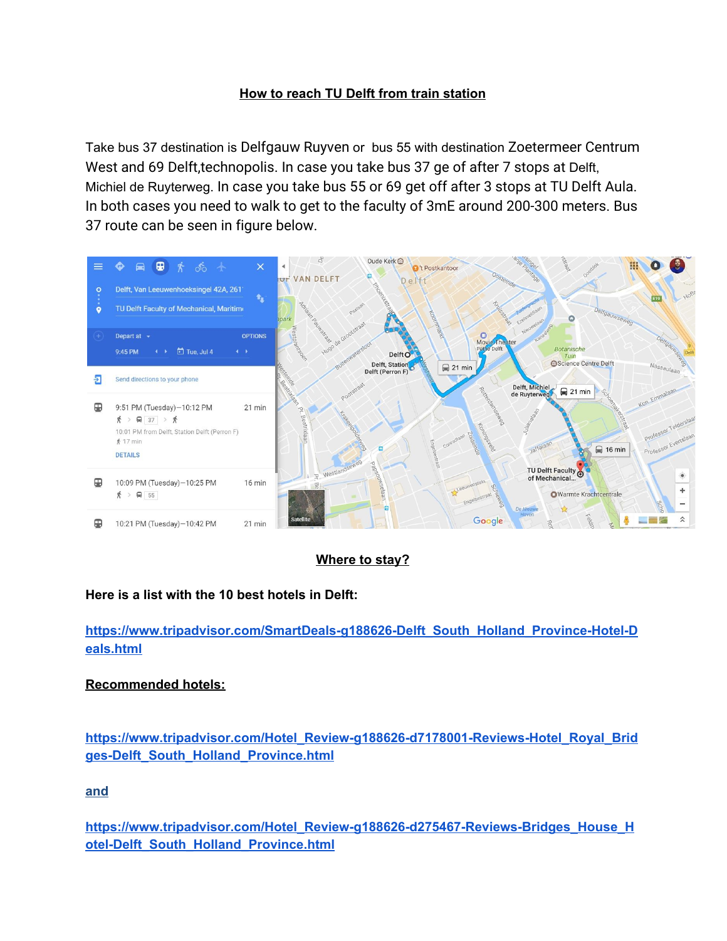## **How to reach TU Delft from train station**

Take bus 37 destination is Delfgauw Ruyven or bus 55 with destination Zoetermeer Centrum West and 69 Delft,technopolis. In case you take bus 37 ge of after 7 stops at Delft, Michiel de Ruyterweg. In case you take bus 55 or 69 get off after 3 stops at TU Delft Aula. In both cases you need to walk to get to the faculty of 3mE around 200-300 meters. Bus 37 route can be seen in figure below.



# **Where to stay?**

# **Here is a list with the 10 best hotels in Delft:**

**[https://www.tripadvisor.com/SmartDeals-g188626-Delft\\_South\\_Holland\\_Province-Hotel-D](https://www.tripadvisor.com/SmartDeals-g188626-Delft_South_Holland_Province-Hotel-Deals.html) [eals.html](https://www.tripadvisor.com/SmartDeals-g188626-Delft_South_Holland_Province-Hotel-Deals.html)**

## **Recommended hotels:**

**[https://www.tripadvisor.com/Hotel\\_Review-g188626-d7178001-Reviews-Hotel\\_Royal\\_Brid](https://www.tripadvisor.com/Hotel_Review-g188626-d7178001-Reviews-Hotel_Royal_Bridges-Delft_South_Holland_Province.html) [ges-Delft\\_South\\_Holland\\_Province.html](https://www.tripadvisor.com/Hotel_Review-g188626-d7178001-Reviews-Hotel_Royal_Bridges-Delft_South_Holland_Province.html)**

## **and**

**[https://www.tripadvisor.com/Hotel\\_Review-g188626-d275467-Reviews-Bridges\\_House\\_H](https://www.tripadvisor.com/Hotel_Review-g188626-d275467-Reviews-Bridges_House_Hotel-Delft_South_Holland_Province.html) [otel-Delft\\_South\\_Holland\\_Province.html](https://www.tripadvisor.com/Hotel_Review-g188626-d275467-Reviews-Bridges_House_Hotel-Delft_South_Holland_Province.html)**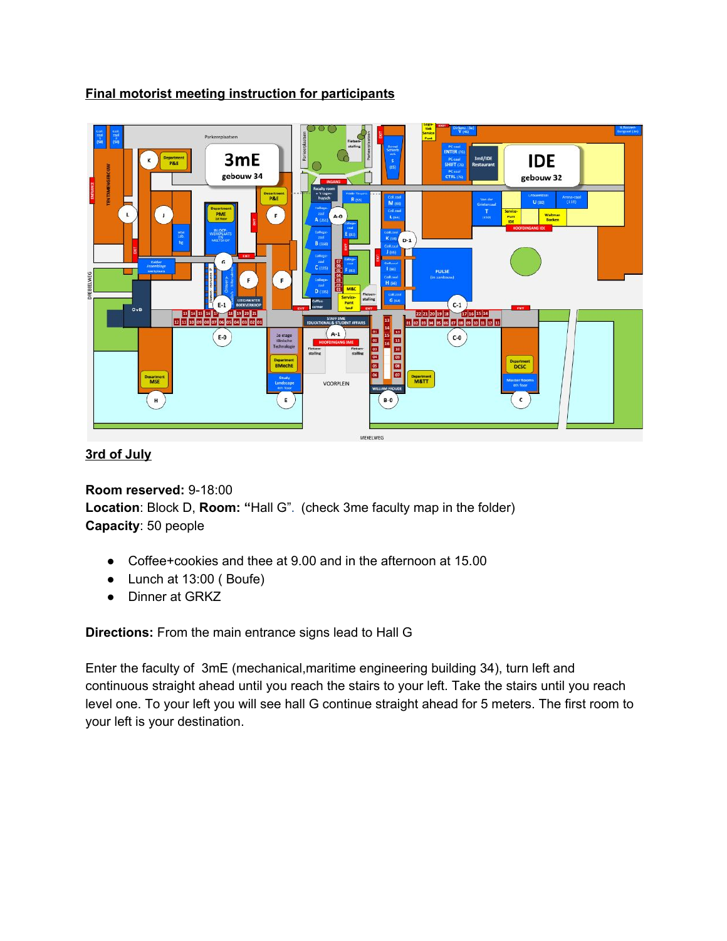## **Final motorist meeting instruction for participants**



**3rd of July**

**Room reserved:**9-18:00 **Location**: Block D, **Room: "**Hall G". (check 3me faculty map in the folder) **Capacity**: 50 people

- Coffee+cookies and thee at 9.00 and in the afternoon at 15.00
- Lunch at 13:00 ( Boufe)
- Dinner at GRKZ

**Directions:** From the main entrance signs lead to Hall G

Enter the faculty of 3mE (mechanical,maritime engineering building 34), turn left and continuous straight ahead until you reach the stairs to your left. Take the stairs until you reach level one. To your left you will see hall G continue straight ahead for 5 meters. The first room to your left is your destination.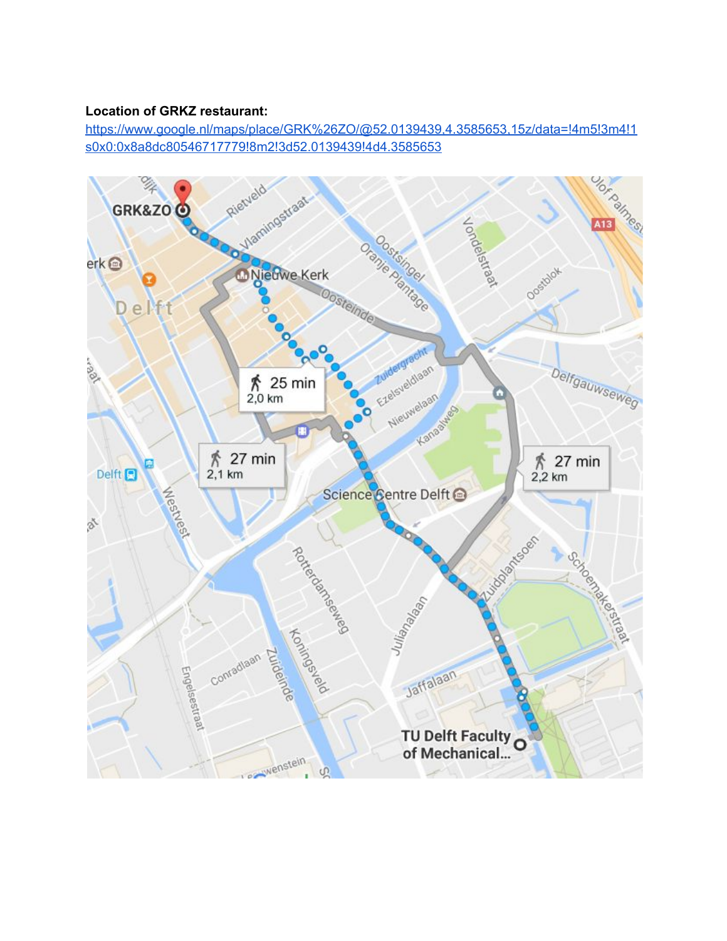### **Location of GRKZ restaurant:**

[https://www.google.nl/maps/place/GRK%26ZO/@52.0139439,4.3585653,15z/data=!4m5!3m4!1](https://www.google.nl/maps/place/GRK%26ZO/@52.0139439,4.3585653,15z/data=!4m5!3m4!1s0x0:0x8a8dc80546717779!8m2!3d52.0139439!4d4.3585653) [s0x0:0x8a8dc80546717779!8m2!3d52.0139439!4d4.3585653](https://www.google.nl/maps/place/GRK%26ZO/@52.0139439,4.3585653,15z/data=!4m5!3m4!1s0x0:0x8a8dc80546717779!8m2!3d52.0139439!4d4.3585653)

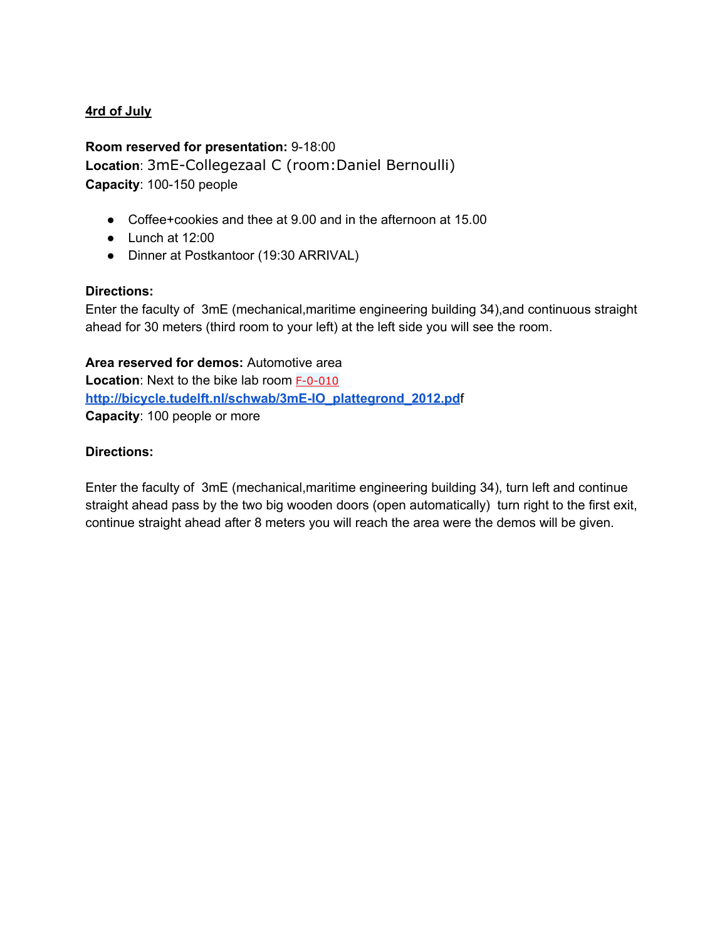### **4rd of July**

**Room reserved for presentation:**9-18:00 **Location**: 3mE-Collegezaal C (room:Daniel Bernoulli) **Capacity**: 100-150 people

- Coffee+cookies and thee at 9.00 and in the afternoon at 15.00
- Lunch at 12:00
- Dinner at Postkantoor (19:30 ARRIVAL)

### **Directions:**

Enter the faculty of 3mE (mechanical,maritime engineering building 34),and continuous straight ahead for 30 meters (third room to your left) at the left side you will see the room.

**Area reserved for demos:** Automotive area **Location**: Next to the bike lab room [F-0-010](http://bicycle.tudelft.nl/schwab/3mE-IO_plattegrond_2012.pdf) **[http://bicycle.tudelft.nl/schwab/3mE-IO\\_plattegrond\\_2012.pd](http://bicycle.tudelft.nl/schwab/3mE-IO_plattegrond_2012.pdf)**f **Capacity**: 100 people or more

### **Directions:**

Enter the faculty of 3mE (mechanical,maritime engineering building 34), turn left and continue straight ahead pass by the two big wooden doors (open automatically) turn right to the first exit, continue straight ahead after 8 meters you will reach the area were the demos will be given.